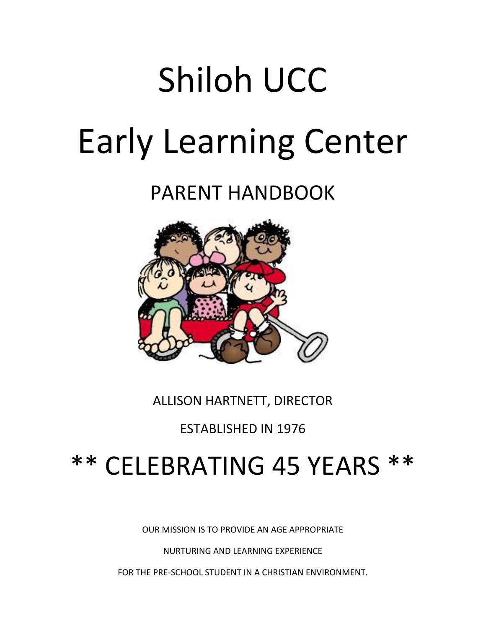# Shiloh UCC Early Learning Center

PARENT HANDBOOK



ALLISON HARTNETT, DIRECTOR

ESTABLISHED IN 1976

## \*\* CELEBRATING 45 YEARS \*\*

OUR MISSION IS TO PROVIDE AN AGE APPROPRIATE

NURTURING AND LEARNING EXPERIENCE

FOR THE PRE-SCHOOL STUDENT IN A CHRISTIAN ENVIRONMENT.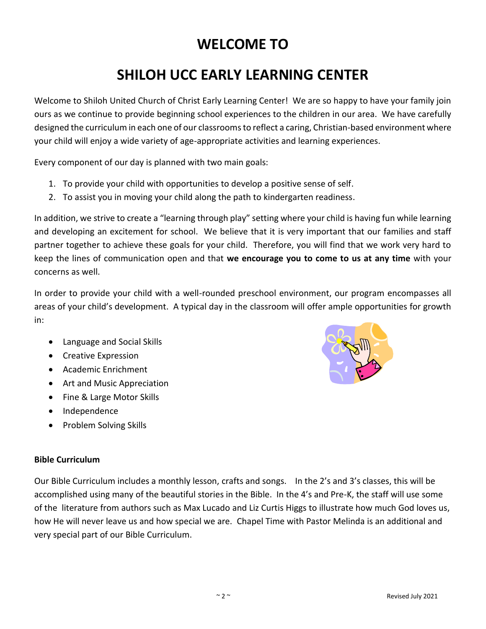#### **WELCOME TO**

### **SHILOH UCC EARLY LEARNING CENTER**

Welcome to Shiloh United Church of Christ Early Learning Center! We are so happy to have your family join ours as we continue to provide beginning school experiences to the children in our area. We have carefully designed the curriculum in each one of our classrooms to reflect a caring, Christian-based environment where your child will enjoy a wide variety of age-appropriate activities and learning experiences.

Every component of our day is planned with two main goals:

- 1. To provide your child with opportunities to develop a positive sense of self.
- 2. To assist you in moving your child along the path to kindergarten readiness.

In addition, we strive to create a "learning through play" setting where your child is having fun while learning and developing an excitement for school. We believe that it is very important that our families and staff partner together to achieve these goals for your child. Therefore, you will find that we work very hard to keep the lines of communication open and that **we encourage you to come to us at any time** with your concerns as well.

In order to provide your child with a well-rounded preschool environment, our program encompasses all areas of your child's development. A typical day in the classroom will offer ample opportunities for growth in:

- Language and Social Skills
- Creative Expression
- Academic Enrichment
- Art and Music Appreciation
- Fine & Large Motor Skills
- Independence
- Problem Solving Skills

#### **Bible Curriculum**

Our Bible Curriculum includes a monthly lesson, crafts and songs. In the 2's and 3's classes, this will be accomplished using many of the beautiful stories in the Bible. In the 4's and Pre-K, the staff will use some of the literature from authors such as Max Lucado and Liz Curtis Higgs to illustrate how much God loves us, how He will never leave us and how special we are. Chapel Time with Pastor Melinda is an additional and very special part of our Bible Curriculum.

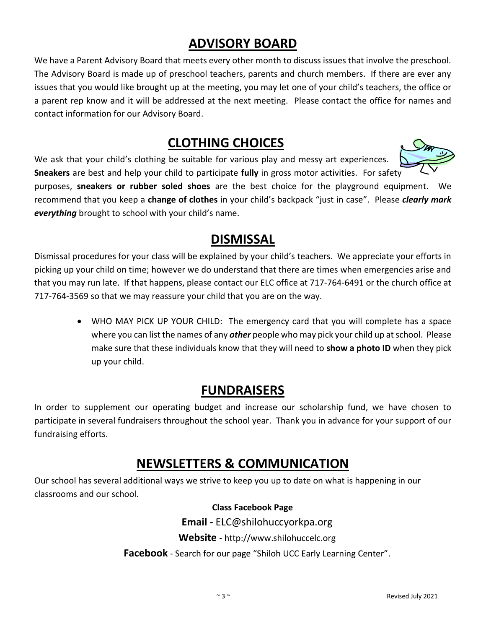#### **ADVISORY BOARD**

We have a Parent Advisory Board that meets every other month to discuss issues that involve the preschool. The Advisory Board is made up of preschool teachers, parents and church members. If there are ever any issues that you would like brought up at the meeting, you may let one of your child's teachers, the office or a parent rep know and it will be addressed at the next meeting. Please contact the office for names and contact information for our Advisory Board.

#### **CLOTHING CHOICES**

We ask that your child's clothing be suitable for various play and messy art experiences. **Sneakers** are best and help your child to participate **fully** in gross motor activities. For safety



purposes, **sneakers or rubber soled shoes** are the best choice for the playground equipment. We recommend that you keep a **change of clothes** in your child's backpack "just in case". Please *clearly mark everything* brought to school with your child's name.

#### **DISMISSAL**

Dismissal procedures for your class will be explained by your child's teachers. We appreciate your efforts in picking up your child on time; however we do understand that there are times when emergencies arise and that you may run late. If that happens, please contact our ELC office at 717-764-6491 or the church office at 717-764-3569 so that we may reassure your child that you are on the way.

• WHO MAY PICK UP YOUR CHILD: The emergency card that you will complete has a space where you can list the names of any *other* people who may pick your child up at school. Please make sure that these individuals know that they will need to **show a photo ID** when they pick up your child.

#### **FUNDRAISERS**

In order to supplement our operating budget and increase our scholarship fund, we have chosen to participate in several fundraisers throughout the school year. Thank you in advance for your support of our fundraising efforts.

#### **NEWSLETTERS & COMMUNICATION**

Our school has several additional ways we strive to keep you up to date on what is happening in our classrooms and our school.

 **Class Facebook Page**

**Email -** ELC@shilohuccyorkpa.org

**Website -** http://www.shilohuccelc.org

**Facebook** - Search for our page "Shiloh UCC Early Learning Center".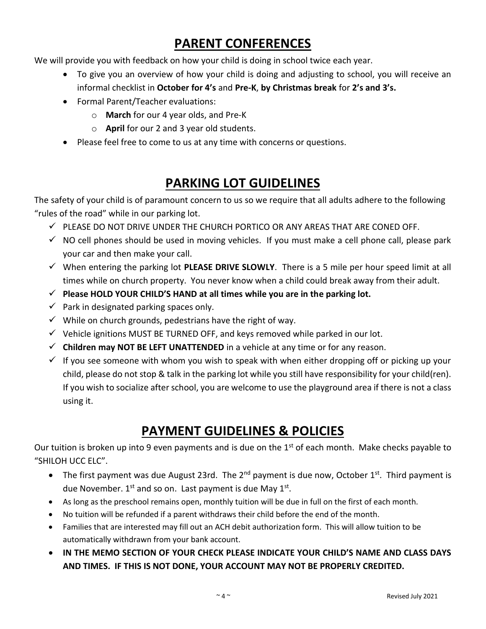#### **PARENT CONFERENCES**

We will provide you with feedback on how your child is doing in school twice each year.

- To give you an overview of how your child is doing and adjusting to school, you will receive an informal checklist in **October for 4's** and **Pre-K**, **by Christmas break** for **2's and 3's.**
- Formal Parent/Teacher evaluations:
	- o **March** for our 4 year olds, and Pre-K
	- o **April** for our 2 and 3 year old students.
- Please feel free to come to us at any time with concerns or questions.

#### **PARKING LOT GUIDELINES**

The safety of your child is of paramount concern to us so we require that all adults adhere to the following "rules of the road" while in our parking lot.

- $\checkmark$  PLEASE DO NOT DRIVE UNDER THE CHURCH PORTICO OR ANY AREAS THAT ARE CONED OFF.
- $\checkmark$  NO cell phones should be used in moving vehicles. If you must make a cell phone call, please park your car and then make your call.
- ✓ When entering the parking lot **PLEASE DRIVE SLOWLY**. There is a 5 mile per hour speed limit at all times while on church property. You never know when a child could break away from their adult.
- ✓ **Please HOLD YOUR CHILD'S HAND at all times while you are in the parking lot.**
- $\checkmark$  Park in designated parking spaces only.
- $\checkmark$  While on church grounds, pedestrians have the right of way.
- $\checkmark$  Vehicle ignitions MUST BE TURNED OFF, and keys removed while parked in our lot.
- $\checkmark$  **Children may NOT BE LEFT UNATTENDED** in a vehicle at any time or for any reason.
- $\checkmark$  If you see someone with whom you wish to speak with when either dropping off or picking up your child, please do not stop & talk in the parking lot while you still have responsibility for your child(ren). If you wish to socialize after school, you are welcome to use the playground area if there is not a class using it.

#### **PAYMENT GUIDELINES & POLICIES**

Our tuition is broken up into 9 even payments and is due on the 1<sup>st</sup> of each month. Make checks payable to "SHILOH UCC ELC".

- The first payment was due August 23rd. The  $2^{nd}$  payment is due now, October 1st. Third payment is due November. 1<sup>st</sup> and so on. Last payment is due May 1<sup>st</sup>.
- As long as the preschool remains open, monthly tuition will be due in full on the first of each month.
- No tuition will be refunded if a parent withdraws their child before the end of the month.
- Families that are interested may fill out an ACH debit authorization form. This will allow tuition to be automatically withdrawn from your bank account.
- **IN THE MEMO SECTION OF YOUR CHECK PLEASE INDICATE YOUR CHILD'S NAME AND CLASS DAYS AND TIMES. IF THIS IS NOT DONE, YOUR ACCOUNT MAY NOT BE PROPERLY CREDITED.**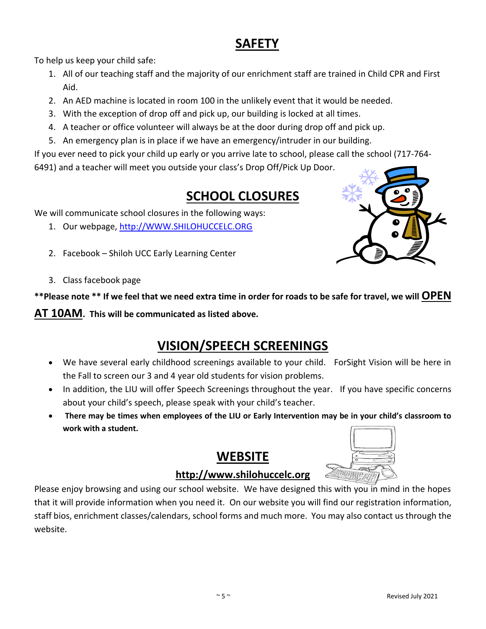#### **SAFETY**

To help us keep your child safe:

- 1. All of our teaching staff and the majority of our enrichment staff are trained in Child CPR and First Aid.
- 2. An AED machine is located in room 100 in the unlikely event that it would be needed.
- 3. With the exception of drop off and pick up, our building is locked at all times.
- 4. A teacher or office volunteer will always be at the door during drop off and pick up.
- 5. An emergency plan is in place if we have an emergency/intruder in our building.

If you ever need to pick your child up early or you arrive late to school, please call the school (717-764- 6491) and a teacher will meet you outside your class's Drop Off/Pick Up Door.

#### **SCHOOL CLOSURES**

We will communicate school closures in the following ways:

- 1. Our webpage, [http://WWW.SHILOHUCCELC.ORG](http://www.shilohuccelc.org/)
- 2. Facebook Shiloh UCC Early Learning Center
- 3. Class facebook page

**\*\*Please note \*\* If we feel that we need extra time in order for roads to be safe for travel, we will OPEN** 

**AT 10AM. This will be communicated as listed above.**

#### **VISION/SPEECH SCREENINGS**

- We have several early childhood screenings available to your child. ForSight Vision will be here in the Fall to screen our 3 and 4 year old students for vision problems.
- In addition, the LIU will offer Speech Screenings throughout the year. If you have specific concerns about your child's speech, please speak with your child's teacher.
- **There may be times when employees of the LIU or Early Intervention may be in your child's classroom to work with a student.**

#### **WEBSITE**



#### **http://www.shilohuccelc.org**

Please enjoy browsing and using our school website. We have designed this with you in mind in the hopes that it will provide information when you need it. On our website you will find our registration information, staff bios, enrichment classes/calendars, school forms and much more. You may also contact us through the website.